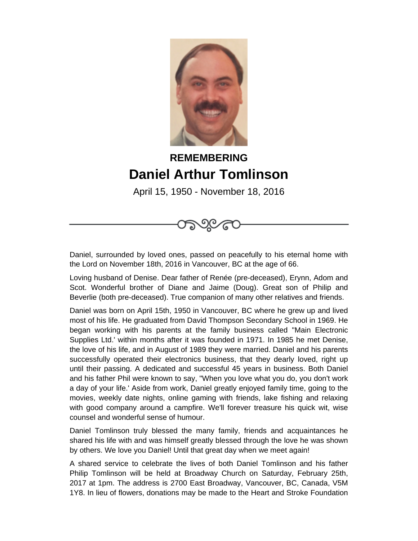

## **REMEMBERING Daniel Arthur Tomlinson**

April 15, 1950 - November 18, 2016

Daniel, surrounded by loved ones, passed on peacefully to his eternal home with the Lord on November 18th, 2016 in Vancouver, BC at the age of 66.

Loving husband of Denise. Dear father of Renée (pre-deceased), Erynn, Adom and Scot. Wonderful brother of Diane and Jaime (Doug). Great son of Philip and Beverlie (both pre-deceased). True companion of many other relatives and friends.

Daniel was born on April 15th, 1950 in Vancouver, BC where he grew up and lived most of his life. He graduated from David Thompson Secondary School in 1969. He began working with his parents at the family business called "Main Electronic Supplies Ltd.' within months after it was founded in 1971. In 1985 he met Denise, the love of his life, and in August of 1989 they were married. Daniel and his parents successfully operated their electronics business, that they dearly loved, right up until their passing. A dedicated and successful 45 years in business. Both Daniel and his father Phil were known to say, "When you love what you do, you don't work a day of your life.' Aside from work, Daniel greatly enjoyed family time, going to the movies, weekly date nights, online gaming with friends, lake fishing and relaxing with good company around a campfire. We'll forever treasure his quick wit, wise counsel and wonderful sense of humour.

Daniel Tomlinson truly blessed the many family, friends and acquaintances he shared his life with and was himself greatly blessed through the love he was shown by others. We love you Daniel! Until that great day when we meet again!

A shared service to celebrate the lives of both Daniel Tomlinson and his father Philip Tomlinson will be held at Broadway Church on Saturday, February 25th, 2017 at 1pm. The address is 2700 East Broadway, Vancouver, BC, Canada, V5M 1Y8. In lieu of flowers, donations may be made to the Heart and Stroke Foundation